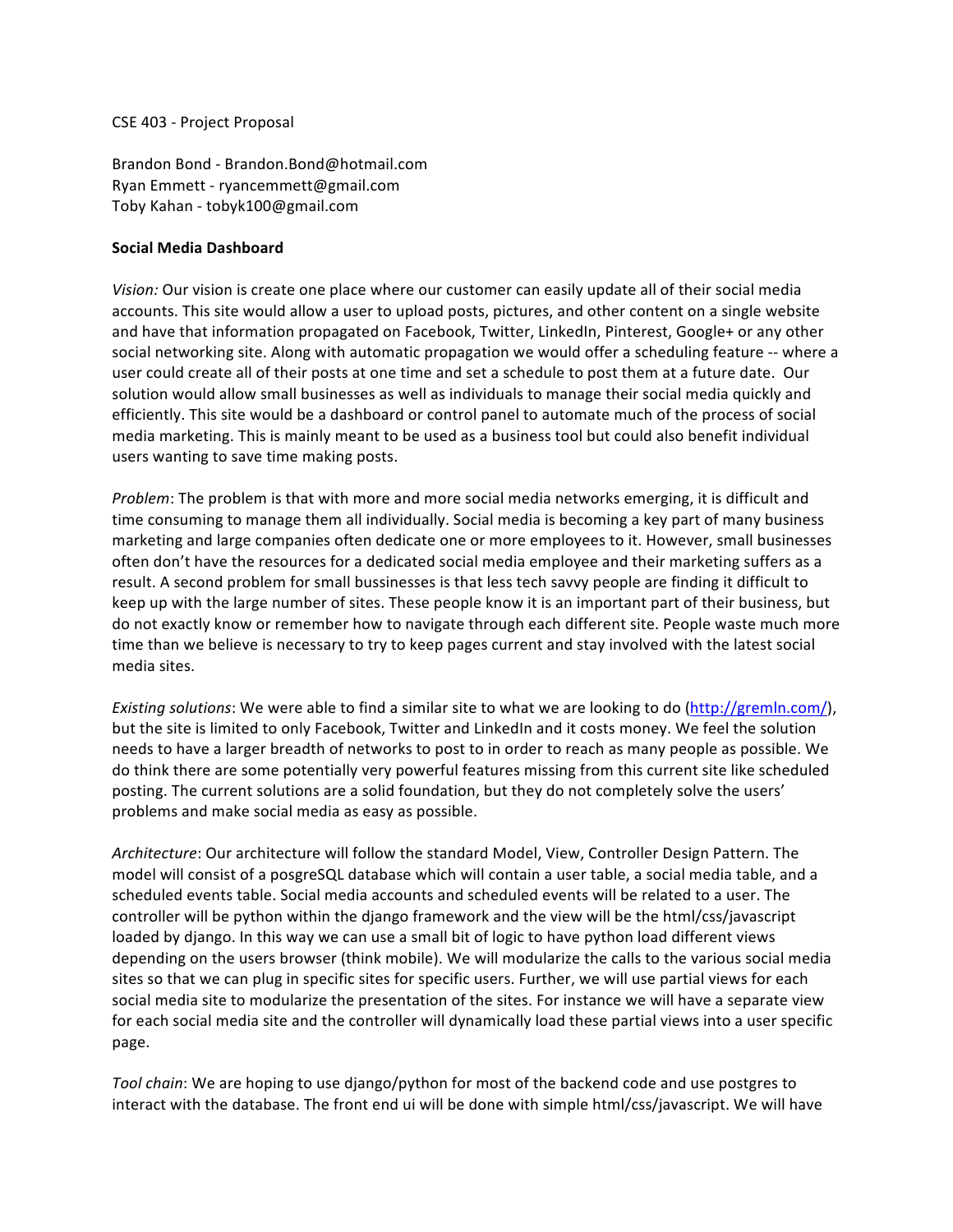## CSE 403 - Project Proposal

Brandon Bond - Brandon.Bond@hotmail.com Ryan Emmett - ryancemmett@gmail.com Toby Kahan - tobyk100@gmail.com

## **Social Media Dashboard**

Vision: Our vision is create one place where our customer can easily update all of their social media accounts. This site would allow a user to upload posts, pictures, and other content on a single website and have that information propagated on Facebook, Twitter, LinkedIn, Pinterest, Google+ or any other social networking site. Along with automatic propagation we would offer a scheduling feature -- where a user could create all of their posts at one time and set a schedule to post them at a future date. Our solution would allow small businesses as well as individuals to manage their social media quickly and efficiently. This site would be a dashboard or control panel to automate much of the process of social media marketing. This is mainly meant to be used as a business tool but could also benefit individual users wanting to save time making posts.

*Problem*: The problem is that with more and more social media networks emerging, it is difficult and time consuming to manage them all individually. Social media is becoming a key part of many business marketing and large companies often dedicate one or more employees to it. However, small businesses often don't have the resources for a dedicated social media employee and their marketing suffers as a result. A second problem for small bussinesses is that less tech savvy people are finding it difficult to keep up with the large number of sites. These people know it is an important part of their business, but do not exactly know or remember how to navigate through each different site. People waste much more time than we believe is necessary to try to keep pages current and stay involved with the latest social media sites.

*Existing solutions*: We were able to find a similar site to what we are looking to do (http://gremln.com/), but the site is limited to only Facebook, Twitter and LinkedIn and it costs money. We feel the solution needs to have a larger breadth of networks to post to in order to reach as many people as possible. We do think there are some potentially very powerful features missing from this current site like scheduled posting. The current solutions are a solid foundation, but they do not completely solve the users' problems and make social media as easy as possible.

Architecture: Our architecture will follow the standard Model, View, Controller Design Pattern. The model will consist of a posgreSQL database which will contain a user table, a social media table, and a scheduled events table. Social media accounts and scheduled events will be related to a user. The controller will be python within the django framework and the view will be the html/css/javascript loaded by django. In this way we can use a small bit of logic to have python load different views depending on the users browser (think mobile). We will modularize the calls to the various social media sites so that we can plug in specific sites for specific users. Further, we will use partial views for each social media site to modularize the presentation of the sites. For instance we will have a separate view for each social media site and the controller will dynamically load these partial views into a user specific page. 

*Tool* chain: We are hoping to use django/python for most of the backend code and use postgres to interact with the database. The front end ui will be done with simple html/css/javascript. We will have